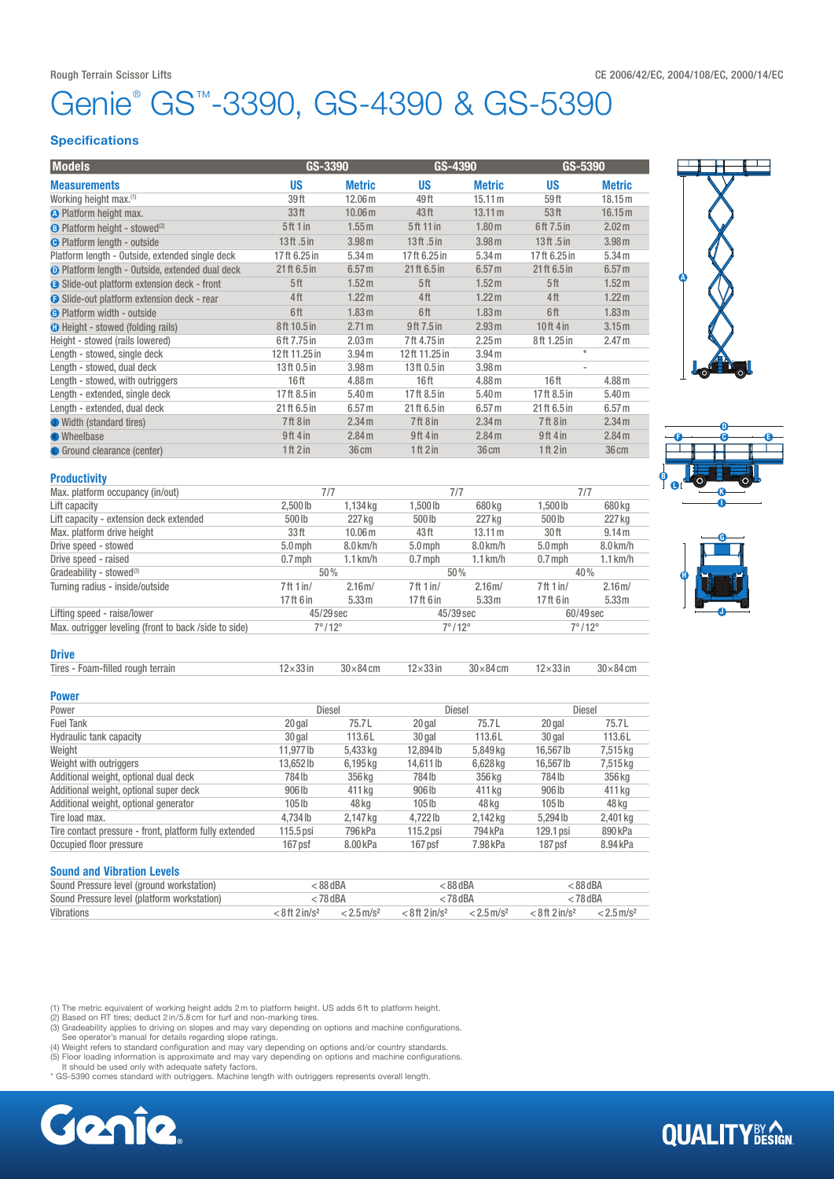# Genie<sup>®</sup> GS™-3390, GS-4390 & GS-5390

### **Specifications**

| <b>Models</b>                                          | GS-3390<br>GS-4390   |                    | GS-5390          |                   |                  |                   |
|--------------------------------------------------------|----------------------|--------------------|------------------|-------------------|------------------|-------------------|
| <b>Measurements</b>                                    | <b>US</b>            | <b>Metric</b>      | <b>US</b>        | <b>Metric</b>     | <b>US</b>        | <b>Metric</b>     |
| Working height max.(1)                                 | 39ft                 | 12.06 <sub>m</sub> | 49 ft            | 15.11 m           | 59ft             | 18.15 m           |
| <b>A</b> Platform height max.                          | 33 <sup>ft</sup>     | 10.06 <sub>m</sub> | 43ft             | 13.11 m           | 53 <sup>th</sup> | 16.15 m           |
| <b>B</b> Platform height - stowed <sup>(2)</sup>       | 5 <sup>ft</sup> 1 in | 1.55 <sub>m</sub>  | 5ft 11 in        | 1.80 <sub>m</sub> | 6ft 7.5 in       | 2.02 <sub>m</sub> |
| <b>O</b> Platform length - outside                     | 13 $ft.5$ in         | 3.98 <sub>m</sub>  | $13$ ft.5 in     | 3.98 <sub>m</sub> | 13ft.5in         | 3.98 <sub>m</sub> |
| Platform length - Outside, extended single deck        | 17ft 6.25 in         | 5.34 m             | 17ft 6.25 in     | 5.34 m            | 17ft 6.25 in     | 5.34 <sub>m</sub> |
| <b>O</b> Platform length - Outside, extended dual deck | 21 ft 6.5 in         | 6.57 <sub>m</sub>  | 21 ft 6.5 in     | 6.57 <sub>m</sub> | 21 ft 6.5 in     | 6.57 <sub>m</sub> |
| <b>B</b> Slide-out platform extension deck - front     | 5 <sup>th</sup>      | 1.52 <sub>m</sub>  | 5 <sup>th</sup>  | 1.52 <sub>m</sub> | 5ft              | 1.52 <sub>m</sub> |
| <b>B</b> Slide-out platform extension deck - rear      | 4ft                  | 1.22 <sub>m</sub>  | 4 <sup>ft</sup>  | 1.22 <sub>m</sub> | 4ft              | 1.22 <sub>m</sub> |
| <b>G</b> Platform width - outside                      | 6ft                  | 1.83 <sub>m</sub>  | 6ft              | 1.83 <sub>m</sub> | 6ft              | 1.83 <sub>m</sub> |
| <b>O</b> Height - stowed (folding rails)               | 8ft 10.5 in          | 2.71 m             | 9ft 7.5 in       | 2.93 m            | $10ft$ 4 in      | 3.15 <sub>m</sub> |
| Height - stowed (rails lowered)                        | 6ft 7.75 in          | 2.03 <sub>m</sub>  | 7ft 4.75 in      | 2.25 <sub>m</sub> | 8ft 1.25 in      | 2.47 <sub>m</sub> |
| Length - stowed, single deck                           | 12ft 11.25 in        | 3.94 <sub>m</sub>  | 12ft 11.25 in    | 3.94 <sub>m</sub> | $\star$          |                   |
| Length - stowed, dual deck                             | 13ft 0.5 in          | 3.98 <sub>m</sub>  | 13ft 0.5 in      | 3.98 <sub>m</sub> | ٠                |                   |
| Length - stowed, with outriggers                       | 16ft                 | 4.88 <sub>m</sub>  | 16 <sub>ft</sub> | 4.88 <sub>m</sub> | 16 <sub>ft</sub> | 4.88 <sub>m</sub> |
| Length - extended, single deck                         | 17ft 8.5 in          | 5.40 <sub>m</sub>  | 17ft 8.5 in      | 5.40 <sub>m</sub> | 17ft 8.5 in      | 5.40 <sub>m</sub> |
| Length - extended, dual deck                           | 21 ft 6.5 in         | 6.57 <sub>m</sub>  | 21 ft 6.5 in     | 6.57 <sub>m</sub> | 21 ft 6.5 in     | 6.57 <sub>m</sub> |
| <b>J</b> Width (standard tires)                        | 7ft8in               | 2.34 m             | 7ft8in           | 2.34 m            | 7ft8in           | 2.34 m            |
| <b>K</b> Wheelbase                                     | 9ft 4 in             | 2.84 m             | 9ft 4 in         | 2.84 m            | $9ft$ 4 in       | 2.84 m            |
| <b>O</b> Ground clearance (center)                     | 1ft 2in              | 36 cm              | 1ft 2in          | 36 cm             | 1ft 2in          | 36 cm             |
| <b>Productivity</b>                                    |                      |                    |                  |                   |                  |                   |
| Max. platform occupancy (in/out)                       | 7/7                  |                    | 7/7              |                   | 7/7              |                   |







| Lift capacity                                         | $2.500$ lb             | 1,134 kg          | 1.500 lb               | 680 ka            | 1.500 lb           | 680 kg            |
|-------------------------------------------------------|------------------------|-------------------|------------------------|-------------------|--------------------|-------------------|
| Lift capacity - extension deck extended               | 500 lb                 | 227 kg            | 500lb                  | 227 kg            | 500lb              | 227 kg            |
| Max. platform drive height                            | 33 <sup>ft</sup>       | 10.06 m           | 43 ft                  | 13.11 m           | 30 ft              | 9.14 m            |
| Drive speed - stowed                                  | $5.0$ mph              | $8.0$ km/h        | $5.0$ mph              | $8.0$ km/h        | $5.0$ mph          | $8.0$ km/h        |
| Drive speed - raised                                  | $0.7$ mph              | $1.1$ km/h        | $0.7$ mph              | $1.1$ km/h        | $0.7$ mph          | $1.1$ km/h        |
| Gradeability - stowed <sup>(3)</sup>                  | 50%                    |                   | 50%                    |                   | 40%                |                   |
| Turning radius - inside/outside                       | 7ft 1in/               | 2.16 <sub>m</sub> | 7ft 1in/               | 2.16 <sub>m</sub> | 7ft 1in/           | 2.16 <sub>m</sub> |
|                                                       | 17ft 6 in              | 5.33 <sub>m</sub> | 17 ft 6 in             | 5.33 <sub>m</sub> | 17ft 6 in          | 5.33 <sub>m</sub> |
| Lifting speed - raise/lower                           | 45/29 sec              |                   | 45/39 sec              |                   | 60/49 sec          |                   |
| Max. outrigger leveling (front to back /side to side) | $7^{\circ}/12^{\circ}$ |                   | $7^{\circ}/12^{\circ}$ |                   | $7^\circ/12^\circ$ |                   |

#### **Drive**

| Tires - Foam-filled rough terrain | $12\times33$ in | $30\times84$ cm | $12\times33$ in | $30\times84$ cm | $12\times33$ in | $30\times84$ cm |
|-----------------------------------|-----------------|-----------------|-----------------|-----------------|-----------------|-----------------|
|                                   |                 |                 |                 |                 |                 |                 |

### Power

| Power                                                  | <b>Diesel</b> |          | Diesel      |          | Diesel    |          |
|--------------------------------------------------------|---------------|----------|-------------|----------|-----------|----------|
| <b>Fuel Tank</b>                                       | 20 gal        | 75.7L    | 20 gal      | 75.7L    | 20 gal    | 75.7L    |
| Hydraulic tank capacity                                | 30 gal        | 113.6L   | 30 gal      | 113.6L   | 30 gal    | 113.6L   |
| Weight                                                 | 11.977 lb     | 5,433 kg | 12,894 lb   | 5,849 kg | 16.567 lb | 7,515 kg |
| Weight with outriggers                                 | 13.652 lb     | 6,195 kg | 14.611 lb   | 6,628 kg | 16.567 lb | 7,515 kg |
| Additional weight, optional dual deck                  | 784 lb        | 356 kg   | 784lb       | 356 kg   | 784lb     | 356 kg   |
| Additional weight, optional super deck                 | 906 lb        | 411 kg   | 906 lb      | 411 ka   | 906 lb    | 411 kg   |
| Additional weight, optional generator                  | 105 lb        | 48 ka    | $105$ lb    | 48 ka    | $105$ lb  | 48 kg    |
| Tire load max.                                         | 4.734 lb      | 2,147 kg | 4.722lb     | 2,142 kg | 5.294 lb  | 2,401 kg |
| Tire contact pressure - front, platform fully extended | $115.5$ psi   | 796 kPa  | $115.2$ psi | 794 kPa  | 129.1 psi | 890 kPa  |
| Occupied floor pressure                                | 167 psf       | 8.00 kPa | 167 psf     | 7.98 kPa | 187 psf   | 8.94 kPa |

## Sound and Vibration Levels

| <b>VUMIN MIN TIMMUNUL LUTUIU</b>            |                              |                          |                              |                          |                              |                          |
|---------------------------------------------|------------------------------|--------------------------|------------------------------|--------------------------|------------------------------|--------------------------|
| Sound Pressure level (ground workstation)   | : 88 dBA                     |                          | : 88 dBA                     |                          | : 88 dBA                     |                          |
| Sound Pressure level (platform workstation) | < 78 dBA                     |                          | < 78 dBA                     |                          | : 78 dBA                     |                          |
| Vibrations                                  | $< 8$ ft 2 in/s <sup>2</sup> | $< 2.5$ m/s <sup>2</sup> | $< 8$ ft 2 in/s <sup>2</sup> | $< 2.5$ m/s <sup>2</sup> | $< 8$ ft 2 in/s <sup>2</sup> | $< 2.5$ m/s <sup>2</sup> |

(1) The metric equivalent of working height adds 2 m to platform height. US adds 6 ft to platform height.<br>(2) Based on RT tires; deduct 2 in/5.8 cm for turf and non-marking tires.

(3) Gradeability applies to driving on slopes and may vary depending on options and machine configurations.<br>See operator's manual for details regarding slope ratings.<br>(4) Weight refers to standard configuration and may var

It should be used only with adequate safety factors. \* GS-5390 comes standard with outriggers. Machine length with outriggers represents overall length.